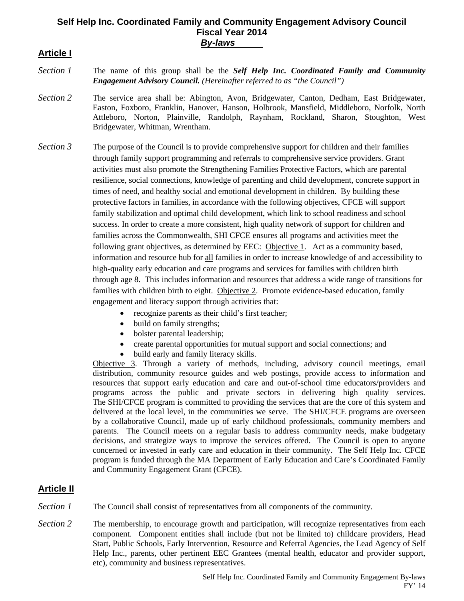### **Self Help Inc. Coordinated Family and Community Engagement Advisory Council**  8B**Fiscal Year 2014** B<sub>V</sub>-laws

## **Article I**

- *Section 1* The name of this group shall be the *Self Help Inc. Coordinated Family and Community Engagement Advisory Council. (Hereinafter referred to as "the Council")*
- *Section 2* The service area shall be: Abington, Avon, Bridgewater, Canton, Dedham, East Bridgewater, Easton, Foxboro, Franklin, Hanover, Hanson, Holbrook, Mansfield, Middleboro, Norfolk, North Attleboro, Norton, Plainville, Randolph, Raynham, Rockland, Sharon, Stoughton, West Bridgewater, Whitman, Wrentham.
- *Section 3* The purpose of the Council is to provide comprehensive support for children and their families through family support programming and referrals to comprehensive service providers. Grant activities must also promote the Strengthening Families Protective Factors, which are parental resilience, social connections, knowledge of parenting and child development, concrete support in times of need, and healthy social and emotional development in children. By building these protective factors in families, in accordance with the following objectives, CFCE will support family stabilization and optimal child development, which link to school readiness and school success. In order to create a more consistent, high quality network of support for children and families across the Commonwealth, SHI CFCE ensures all programs and activities meet the following grant objectives, as determined by EEC: Objective 1. Act as a community based, information and resource hub for all families in order to increase knowledge of and accessibility to high-quality early education and care programs and services for families with children birth through age 8. This includes information and resources that address a wide range of transitions for families with children birth to eight. Objective 2. Promote evidence-based education, family engagement and literacy support through activities that:
	- recognize parents as their child's first teacher;
	- build on family strengths;
	- bolster parental leadership;
	- create parental opportunities for mutual support and social connections; and
	- build early and family literacy skills.

Objective 3. Through a variety of methods, including, advisory council meetings, email distribution, community resource guides and web postings, provide access to information and resources that support early education and care and out-of-school time educators/providers and programs across the public and private sectors in delivering high quality services. The SHI/CFCE program is committed to providing the services that are the core of this system and delivered at the local level, in the communities we serve. The SHI/CFCE programs are overseen by a collaborative Council, made up of early childhood professionals, community members and parents. The Council meets on a regular basis to address community needs, make budgetary decisions, and strategize ways to improve the services offered. The Council is open to anyone concerned or invested in early care and education in their community. The Self Help Inc. CFCE program is funded through the MA Department of Early Education and Care's Coordinated Family and Community Engagement Grant (CFCE).

### **Article II**

*Section 1* The Council shall consist of representatives from all components of the community.

*Section 2* The membership, to encourage growth and participation, will recognize representatives from each component. Component entities shall include (but not be limited to) childcare providers, Head Start, Public Schools, Early Intervention, Resource and Referral Agencies, the Lead Agency of Self Help Inc., parents, other pertinent EEC Grantees (mental health, educator and provider support, etc), community and business representatives.